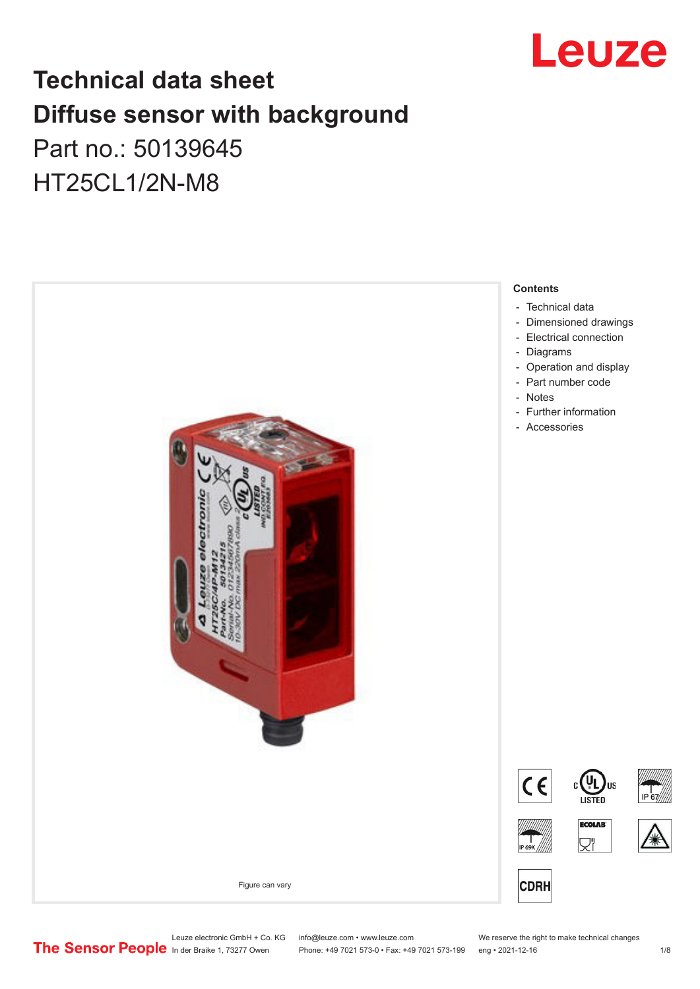

## **Technical data sheet Diffuse sensor with background**  Part no.: 50139645

HT25CL1/2N-M8



Leuze electronic GmbH + Co. KG info@leuze.com • www.leuze.com We reserve the right to make technical changes<br>
The Sensor People in der Braike 1, 73277 Owen Phone: +49 7021 573-0 • Fax: +49 7021 573-199 eng • 2021-12-16

Phone: +49 7021 573-0 • Fax: +49 7021 573-199 eng • 2021-12-16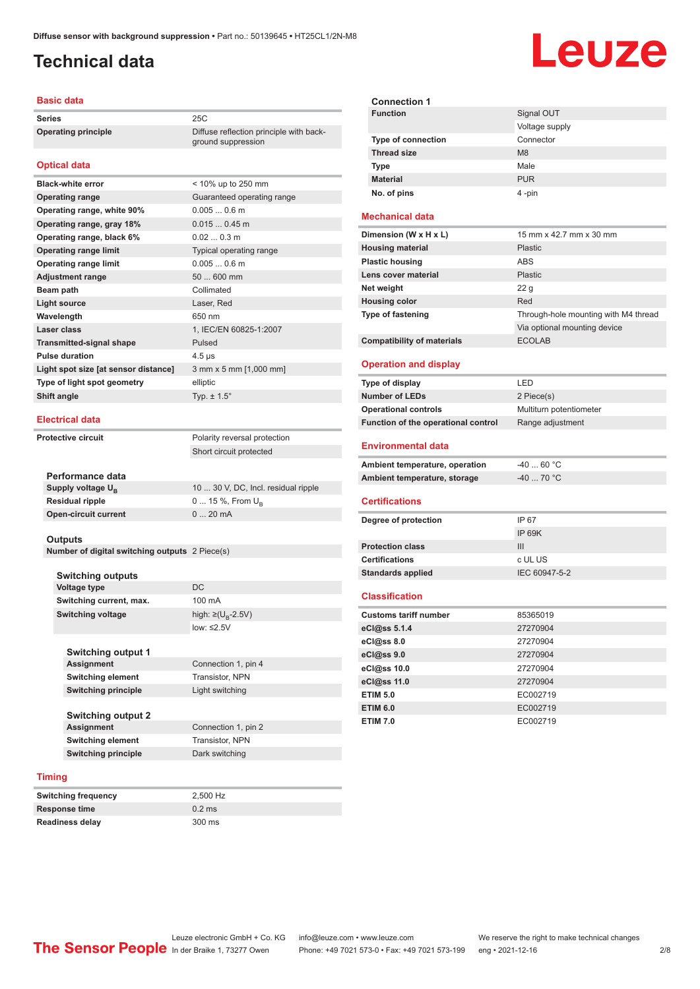ground suppression

## <span id="page-1-0"></span>**Technical data**

#### **Basic data**

**Series** 25C **Operating principle** Diffuse reflection principle with back-

### **Optical data**

| <b>Black-white error</b>             | < 10% up to 250 mm         |
|--------------------------------------|----------------------------|
| <b>Operating range</b>               | Guaranteed operating range |
| Operating range, white 90%           | $0.0050.6$ m               |
| Operating range, gray 18%            | $0.0150.45$ m              |
| Operating range, black 6%            | 0.020.3 m                  |
| <b>Operating range limit</b>         | Typical operating range    |
| <b>Operating range limit</b>         | $0.0050.6$ m               |
| <b>Adjustment range</b>              | 50  600 mm                 |
| Beam path                            | Collimated                 |
| <b>Light source</b>                  | Laser, Red                 |
| Wavelength                           | 650 nm                     |
| Laser class                          | 1, IEC/EN 60825-1:2007     |
| <b>Transmitted-signal shape</b>      | Pulsed                     |
| <b>Pulse duration</b>                | $4.5 \,\mathrm{\mu s}$     |
| Light spot size [at sensor distance] | 3 mm x 5 mm [1,000 mm]     |
| Type of light spot geometry          | elliptic                   |
| Shift angle                          | Typ. $\pm$ 1.5 $^{\circ}$  |
|                                      |                            |

### **Electrical data**

**Protective circuit** Polarity reversal protection

Short circuit protected

| Performance data              |                                     |
|-------------------------------|-------------------------------------|
| Supply voltage U <sub>B</sub> | 10  30 V, DC, Incl. residual ripple |
| <b>Residual ripple</b>        | $0 15 \%$ , From $U_{p}$            |
| <b>Open-circuit current</b>   | $020$ mA                            |
|                               |                                     |

### **Outputs**

**Number of digital switching outputs** 2 Piece(s)

| <b>Switching outputs</b>   |                                     |
|----------------------------|-------------------------------------|
| <b>Voltage type</b>        | DC                                  |
| Switching current, max.    | 100 mA                              |
| Switching voltage          | high: $\geq$ (U <sub>B</sub> -2.5V) |
|                            | low: $\leq 2.5V$                    |
|                            |                                     |
| <b>Switching output 1</b>  |                                     |
| <b>Assignment</b>          | Connection 1, pin 4                 |
| <b>Switching element</b>   | <b>Transistor, NPN</b>              |
| <b>Switching principle</b> | Light switching                     |
|                            |                                     |
| <b>Switching output 2</b>  |                                     |
| <b>Assignment</b>          | Connection 1, pin 2                 |

### **Switching element** Transistor, NPN **Switching principle** Dark switching

| Switching frequency | 2.500 Hz |
|---------------------|----------|
| Response time       | $0.2$ ms |
| Readiness delay     | 300 ms   |

| <b>Connection 1</b>       |                |
|---------------------------|----------------|
| <b>Function</b>           | Signal OUT     |
|                           | Voltage supply |
| <b>Type of connection</b> | Connector      |
| <b>Thread size</b>        | M <sub>8</sub> |
| <b>Type</b>               | Male           |
| <b>Material</b>           | <b>PUR</b>     |
| No. of pins               | 4-pin          |

### **Mechanical data**

| 15 mm x 42.7 mm x 30 mm              |
|--------------------------------------|
| Plastic                              |
| <b>ABS</b>                           |
| <b>Plastic</b>                       |
| 22 <sub>g</sub>                      |
| Red                                  |
| Through-hole mounting with M4 thread |
| Via optional mounting device         |
| <b>ECOLAB</b>                        |
|                                      |

### **Operation and display**

| Type of display                     | I FD                    |
|-------------------------------------|-------------------------|
| <b>Number of LEDs</b>               | 2 Piece(s)              |
| <b>Operational controls</b>         | Multiturn potentiometer |
| Function of the operational control | Range adjustment        |

#### **Environmental data**

| Ambient temperature, operation | -40  60 °C |
|--------------------------------|------------|
| Ambient temperature, storage   | -40  70 °C |

#### **Certifications**

| Degree of protection     | IP 67         |
|--------------------------|---------------|
|                          | IP 69K        |
| <b>Protection class</b>  | Ш             |
| <b>Certifications</b>    | c UL US       |
| <b>Standards applied</b> | IEC 60947-5-2 |
|                          |               |

### **Classification**

| <b>Customs tariff number</b> | 85365019 |
|------------------------------|----------|
| eCl@ss 5.1.4                 | 27270904 |
| $eC/\omega$ ss 8.0           | 27270904 |
| eCl@ss 9.0                   | 27270904 |
| eCl@ss 10.0                  | 27270904 |
| eCl@ss 11.0                  | 27270904 |
| <b>ETIM 5.0</b>              | EC002719 |
| <b>ETIM 6.0</b>              | EC002719 |
| <b>ETIM 7.0</b>              | EC002719 |

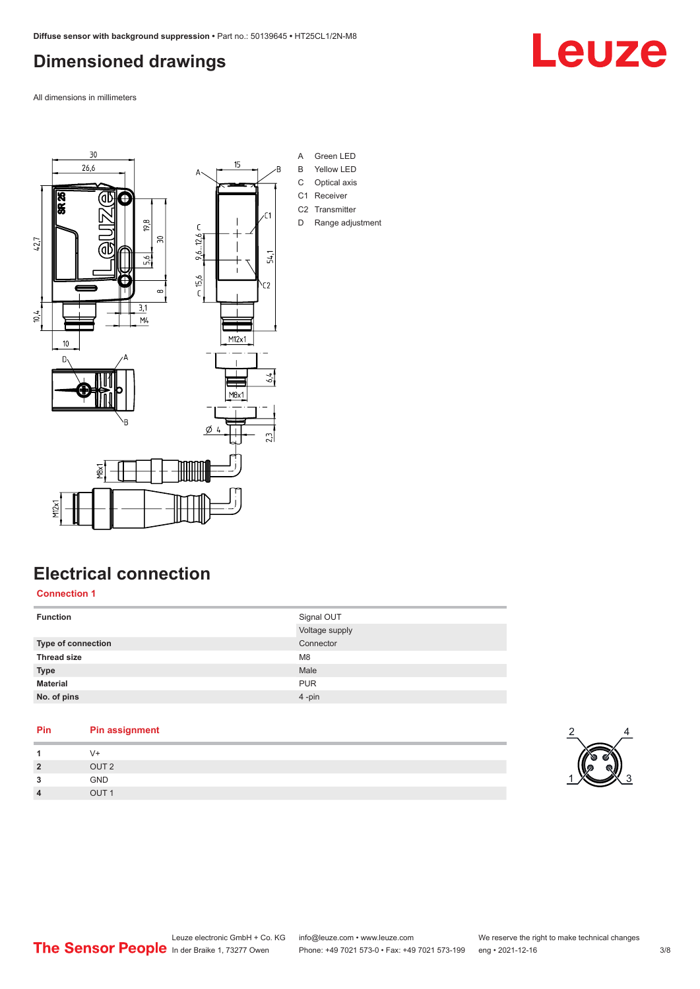## <span id="page-2-0"></span>**Dimensioned drawings**

All dimensions in millimeters



## **Electrical connection**

**Connection 1**

| <b>Function</b>    | Signal OUT     |
|--------------------|----------------|
|                    | Voltage supply |
| Type of connection | Connector      |
| <b>Thread size</b> | M <sub>8</sub> |
| <b>Type</b>        | Male           |
| <b>Material</b>    | <b>PUR</b>     |
| No. of pins        | 4-pin          |
|                    |                |

### **Pin Pin assignment**

| -4             | V+               |
|----------------|------------------|
| $\overline{2}$ | OUT <sub>2</sub> |
| 3              | GND              |
| $\overline{4}$ | OUT <sub>1</sub> |



Leuze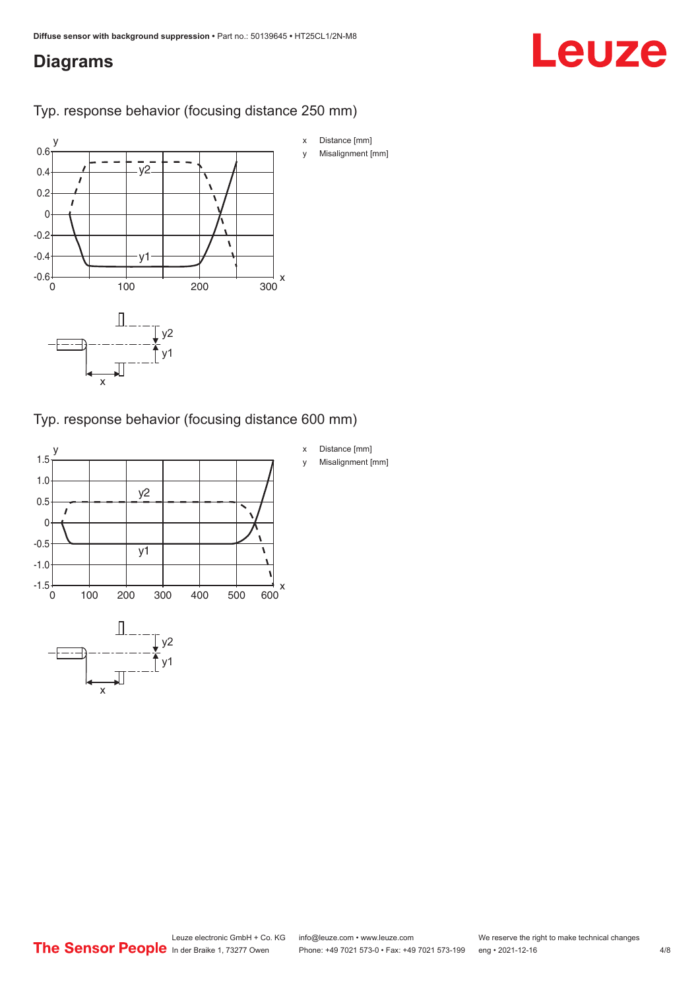## <span id="page-3-0"></span>**Diagrams**

# Leuze

Typ. response behavior (focusing distance 250 mm)



Typ. response behavior (focusing distance 600 mm)

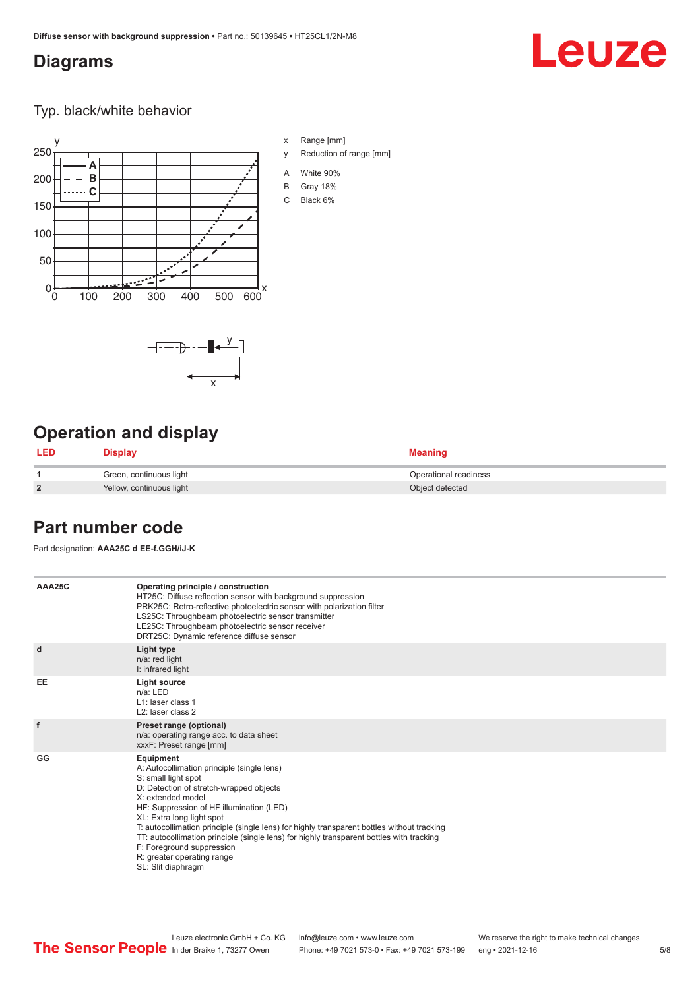### <span id="page-4-0"></span>**Diagrams**

# Leuze

Typ. black/white behavior



x

 $-\overline{...}$   $-\overline{...}$   $-\overline{...}$ 

x Range [mm]

- y Reduction of range [mm]
- A White 90%
- B Gray 18%
- C Black 6%

## **Operation and display**

| <b>LED</b>     | Display                  | <b>Meaning</b>        |
|----------------|--------------------------|-----------------------|
|                | Green, continuous light  | Operational readiness |
| $\overline{2}$ | Yellow, continuous light | Object detected       |

### **Part number code**

Part designation: **AAA25C d EE-f.GGH/iJ-K**

| AAA25C | Operating principle / construction<br>HT25C: Diffuse reflection sensor with background suppression<br>PRK25C: Retro-reflective photoelectric sensor with polarization filter<br>LS25C: Throughbeam photoelectric sensor transmitter<br>LE25C: Throughbeam photoelectric sensor receiver<br>DRT25C: Dynamic reference diffuse sensor                                                                                                                                                                |
|--------|----------------------------------------------------------------------------------------------------------------------------------------------------------------------------------------------------------------------------------------------------------------------------------------------------------------------------------------------------------------------------------------------------------------------------------------------------------------------------------------------------|
| d      | Light type<br>n/a: red light<br>I: infrared light                                                                                                                                                                                                                                                                                                                                                                                                                                                  |
| EE     | Light source<br>$n/a$ : LED<br>L1: laser class 1<br>L <sub>2</sub> : laser class 2                                                                                                                                                                                                                                                                                                                                                                                                                 |
| f      | Preset range (optional)<br>n/a: operating range acc. to data sheet<br>xxxF: Preset range [mm]                                                                                                                                                                                                                                                                                                                                                                                                      |
| GG     | Equipment<br>A: Autocollimation principle (single lens)<br>S: small light spot<br>D: Detection of stretch-wrapped objects<br>X: extended model<br>HF: Suppression of HF illumination (LED)<br>XL: Extra long light spot<br>T: autocollimation principle (single lens) for highly transparent bottles without tracking<br>TT: autocollimation principle (single lens) for highly transparent bottles with tracking<br>F: Foreground suppression<br>R: greater operating range<br>SL: Slit diaphragm |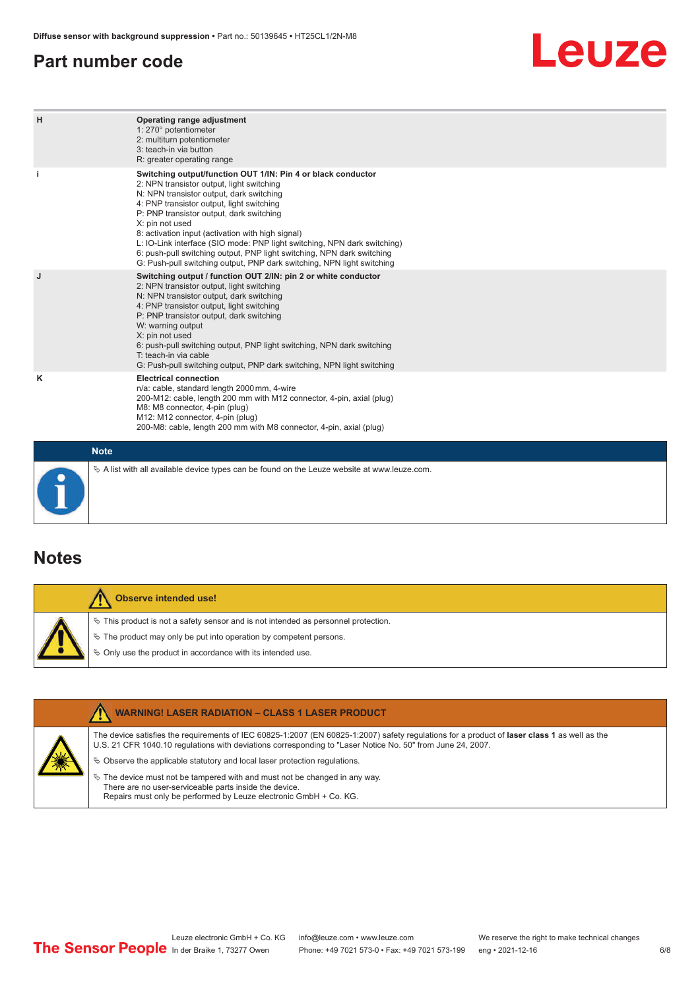### <span id="page-5-0"></span>**Part number code**

## Leuze

| H           | Operating range adjustment<br>1: 270° potentiometer<br>2: multiturn potentiometer<br>3: teach-in via button<br>R: greater operating range                                                                                                                                                                                                                                                                                                                                                                                                              |
|-------------|--------------------------------------------------------------------------------------------------------------------------------------------------------------------------------------------------------------------------------------------------------------------------------------------------------------------------------------------------------------------------------------------------------------------------------------------------------------------------------------------------------------------------------------------------------|
|             | Switching output/function OUT 1/IN: Pin 4 or black conductor<br>2: NPN transistor output, light switching<br>N: NPN transistor output, dark switching<br>4: PNP transistor output, light switching<br>P: PNP transistor output, dark switching<br>X: pin not used<br>8: activation input (activation with high signal)<br>L: IO-Link interface (SIO mode: PNP light switching, NPN dark switching)<br>6: push-pull switching output, PNP light switching, NPN dark switching<br>G: Push-pull switching output, PNP dark switching, NPN light switching |
| J           | Switching output / function OUT 2/IN: pin 2 or white conductor<br>2: NPN transistor output, light switching<br>N: NPN transistor output, dark switching<br>4: PNP transistor output, light switching<br>P: PNP transistor output, dark switching<br>W: warning output<br>X: pin not used<br>6: push-pull switching output, PNP light switching, NPN dark switching<br>T: teach-in via cable<br>G: Push-pull switching output, PNP dark switching, NPN light switching                                                                                  |
| κ           | <b>Electrical connection</b><br>n/a: cable, standard length 2000 mm, 4-wire<br>200-M12: cable, length 200 mm with M12 connector, 4-pin, axial (plug)<br>M8: M8 connector, 4-pin (plug)<br>M12: M12 connector, 4-pin (plug)<br>200-M8: cable, length 200 mm with M8 connector, 4-pin, axial (plug)                                                                                                                                                                                                                                                      |
| <b>Note</b> |                                                                                                                                                                                                                                                                                                                                                                                                                                                                                                                                                        |

 $\%$  A list with all available device types can be found on the Leuze website at www.leuze.com.

### **Notes**

| <b>Observe intended use!</b>                                                                                                                                   |
|----------------------------------------------------------------------------------------------------------------------------------------------------------------|
| $\%$ This product is not a safety sensor and is not intended as personnel protection.<br>$\%$ The product may only be put into operation by competent persons. |
| $\%$ Only use the product in accordance with its intended use.                                                                                                 |

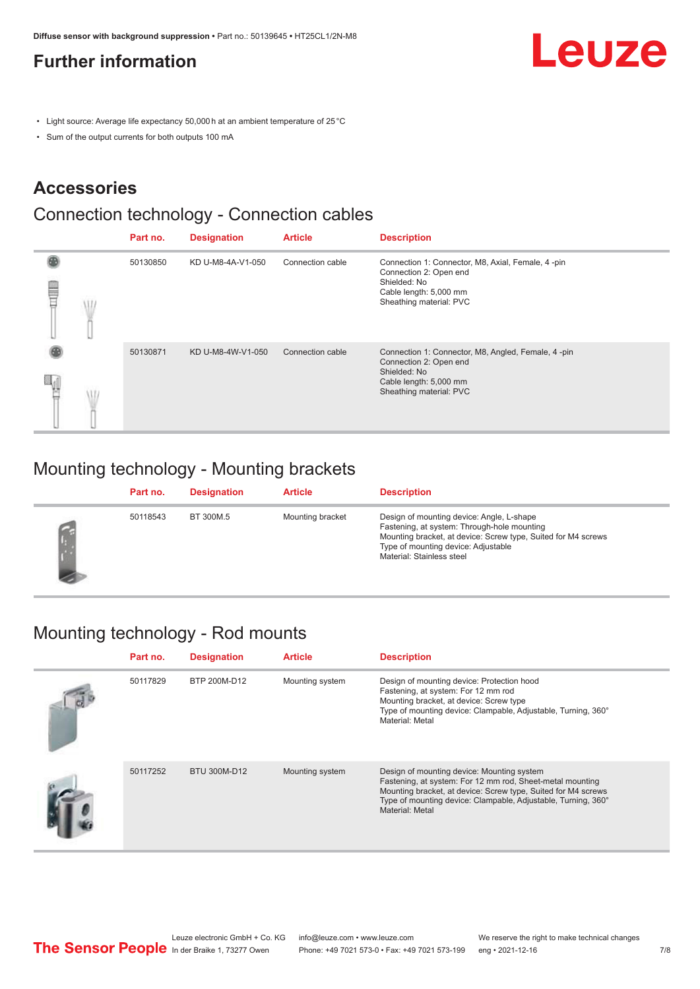## <span id="page-6-0"></span>**Further information**

Leuze

- Light source: Average life expectancy 50,000 h at an ambient temperature of 25 °C
- Sum of the output currents for both outputs 100 mA

## **Accessories**

## Connection technology - Connection cables

|   |    | Part no. | <b>Designation</b> | <b>Article</b>   | <b>Description</b>                                                                                                                                |
|---|----|----------|--------------------|------------------|---------------------------------------------------------------------------------------------------------------------------------------------------|
| ŧ | J. | 50130850 | KD U-M8-4A-V1-050  | Connection cable | Connection 1: Connector, M8, Axial, Female, 4-pin<br>Connection 2: Open end<br>Shielded: No<br>Cable length: 5,000 mm<br>Sheathing material: PVC  |
|   |    | 50130871 | KD U-M8-4W-V1-050  | Connection cable | Connection 1: Connector, M8, Angled, Female, 4-pin<br>Connection 2: Open end<br>Shielded: No<br>Cable length: 5,000 mm<br>Sheathing material: PVC |

## Mounting technology - Mounting brackets

| Part no. | <b>Designation</b> | <b>Article</b>   | <b>Description</b>                                                                                                                                                                                                            |
|----------|--------------------|------------------|-------------------------------------------------------------------------------------------------------------------------------------------------------------------------------------------------------------------------------|
| 50118543 | BT 300M.5          | Mounting bracket | Design of mounting device: Angle, L-shape<br>Fastening, at system: Through-hole mounting<br>Mounting bracket, at device: Screw type, Suited for M4 screws<br>Type of mounting device: Adjustable<br>Material: Stainless steel |

## Mounting technology - Rod mounts

| Part no. | <b>Designation</b> | <b>Article</b>  | <b>Description</b>                                                                                                                                                                                                                                           |
|----------|--------------------|-----------------|--------------------------------------------------------------------------------------------------------------------------------------------------------------------------------------------------------------------------------------------------------------|
| 50117829 | BTP 200M-D12       | Mounting system | Design of mounting device: Protection hood<br>Fastening, at system: For 12 mm rod<br>Mounting bracket, at device: Screw type<br>Type of mounting device: Clampable, Adjustable, Turning, 360°<br>Material: Metal                                             |
| 50117252 | BTU 300M-D12       | Mounting system | Design of mounting device: Mounting system<br>Fastening, at system: For 12 mm rod, Sheet-metal mounting<br>Mounting bracket, at device: Screw type, Suited for M4 screws<br>Type of mounting device: Clampable, Adjustable, Turning, 360°<br>Material: Metal |